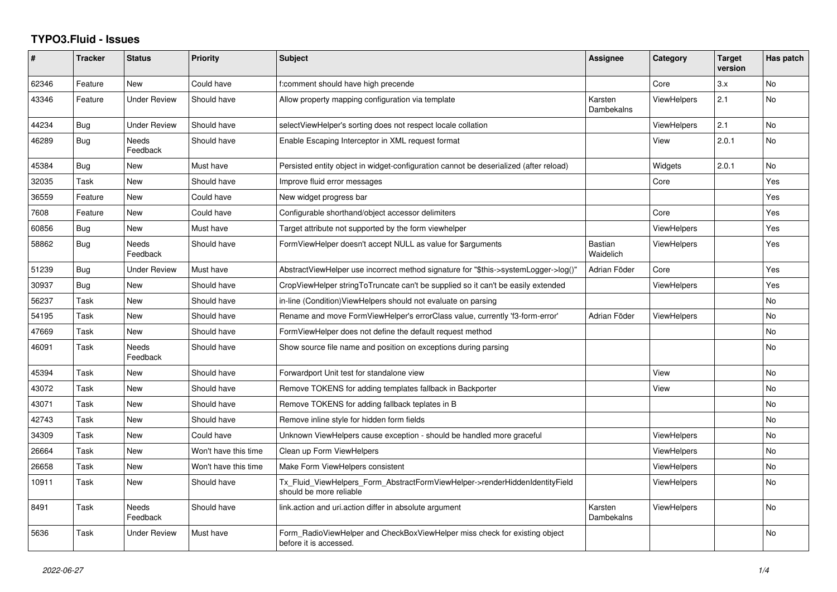## **TYPO3.Fluid - Issues**

| #     | <b>Tracker</b> | <b>Status</b>       | Priority             | Subject                                                                                                | Assignee                    | Category           | <b>Target</b><br>version | Has patch |
|-------|----------------|---------------------|----------------------|--------------------------------------------------------------------------------------------------------|-----------------------------|--------------------|--------------------------|-----------|
| 62346 | Feature        | <b>New</b>          | Could have           | f:comment should have high precende                                                                    |                             | Core               | 3.x                      | <b>No</b> |
| 43346 | Feature        | <b>Under Review</b> | Should have          | Allow property mapping configuration via template                                                      | Karsten<br>Dambekalns       | <b>ViewHelpers</b> | 2.1                      | No        |
| 44234 | <b>Bug</b>     | <b>Under Review</b> | Should have          | selectViewHelper's sorting does not respect locale collation                                           |                             | <b>ViewHelpers</b> | 2.1                      | No        |
| 46289 | <b>Bug</b>     | Needs<br>Feedback   | Should have          | Enable Escaping Interceptor in XML request format                                                      |                             | View               | 2.0.1                    | <b>No</b> |
| 45384 | Bug            | New                 | Must have            | Persisted entity object in widget-configuration cannot be deserialized (after reload)                  |                             | Widgets            | 2.0.1                    | No        |
| 32035 | Task           | New                 | Should have          | Improve fluid error messages                                                                           |                             | Core               |                          | Yes       |
| 36559 | Feature        | New                 | Could have           | New widget progress bar                                                                                |                             |                    |                          | Yes       |
| 7608  | Feature        | New                 | Could have           | Configurable shorthand/object accessor delimiters                                                      |                             | Core               |                          | Yes       |
| 60856 | Bug            | <b>New</b>          | Must have            | Target attribute not supported by the form viewhelper                                                  |                             | <b>ViewHelpers</b> |                          | Yes       |
| 58862 | Bug            | Needs<br>Feedback   | Should have          | FormViewHelper doesn't accept NULL as value for \$arguments                                            | <b>Bastian</b><br>Waidelich | ViewHelpers        |                          | Yes       |
| 51239 | Bug            | Under Review        | Must have            | AbstractViewHelper use incorrect method signature for "\$this->systemLogger->log()"                    | Adrian Föder                | Core               |                          | Yes       |
| 30937 | Bug            | New                 | Should have          | CropViewHelper stringToTruncate can't be supplied so it can't be easily extended                       |                             | ViewHelpers        |                          | Yes       |
| 56237 | Task           | New                 | Should have          | in-line (Condition) View Helpers should not evaluate on parsing                                        |                             |                    |                          | No        |
| 54195 | Task           | New                 | Should have          | Rename and move FormViewHelper's errorClass value, currently 'f3-form-error'                           | Adrian Föder                | <b>ViewHelpers</b> |                          | <b>No</b> |
| 47669 | Task           | New                 | Should have          | FormViewHelper does not define the default request method                                              |                             |                    |                          | No        |
| 46091 | Task           | Needs<br>Feedback   | Should have          | Show source file name and position on exceptions during parsing                                        |                             |                    |                          | No        |
| 45394 | Task           | New                 | Should have          | Forwardport Unit test for standalone view                                                              |                             | View               |                          | <b>No</b> |
| 43072 | Task           | New                 | Should have          | Remove TOKENS for adding templates fallback in Backporter                                              |                             | View               |                          | No        |
| 43071 | Task           | New                 | Should have          | Remove TOKENS for adding fallback teplates in B                                                        |                             |                    |                          | No.       |
| 42743 | Task           | New                 | Should have          | Remove inline style for hidden form fields                                                             |                             |                    |                          | No        |
| 34309 | Task           | New                 | Could have           | Unknown ViewHelpers cause exception - should be handled more graceful                                  |                             | <b>ViewHelpers</b> |                          | No        |
| 26664 | Task           | New                 | Won't have this time | Clean up Form ViewHelpers                                                                              |                             | ViewHelpers        |                          | No.       |
| 26658 | Task           | New                 | Won't have this time | Make Form ViewHelpers consistent                                                                       |                             | ViewHelpers        |                          | No        |
| 10911 | Task           | New                 | Should have          | Tx Fluid ViewHelpers Form AbstractFormViewHelper->renderHiddenIdentityField<br>should be more reliable |                             | <b>ViewHelpers</b> |                          | No        |
| 8491  | Task           | Needs<br>Feedback   | Should have          | link.action and uri.action differ in absolute argument                                                 | Karsten<br>Dambekalns       | ViewHelpers        |                          | <b>No</b> |
| 5636  | Task           | <b>Under Review</b> | Must have            | Form_RadioViewHelper and CheckBoxViewHelper miss check for existing object<br>before it is accessed.   |                             |                    |                          | No        |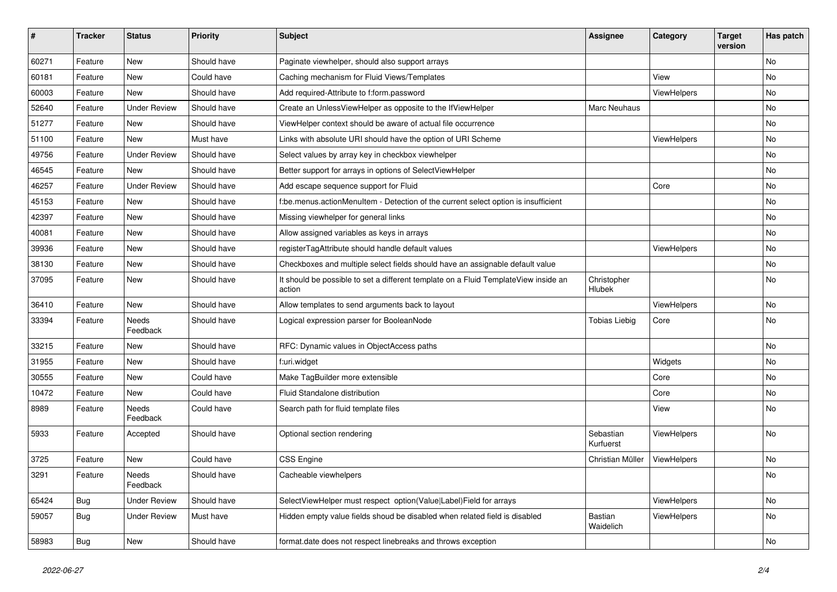| #     | <b>Tracker</b> | <b>Status</b>       | <b>Priority</b> | Subject                                                                                       | <b>Assignee</b>        | Category    | <b>Target</b><br>version | Has patch |
|-------|----------------|---------------------|-----------------|-----------------------------------------------------------------------------------------------|------------------------|-------------|--------------------------|-----------|
| 60271 | Feature        | New                 | Should have     | Paginate viewhelper, should also support arrays                                               |                        |             |                          | No        |
| 60181 | Feature        | New                 | Could have      | Caching mechanism for Fluid Views/Templates                                                   |                        | View        |                          | No        |
| 60003 | Feature        | New                 | Should have     | Add required-Attribute to f:form.password                                                     |                        | ViewHelpers |                          | No        |
| 52640 | Feature        | <b>Under Review</b> | Should have     | Create an UnlessViewHelper as opposite to the IfViewHelper                                    | Marc Neuhaus           |             |                          | No        |
| 51277 | Feature        | New                 | Should have     | ViewHelper context should be aware of actual file occurrence                                  |                        |             |                          | No        |
| 51100 | Feature        | New                 | Must have       | Links with absolute URI should have the option of URI Scheme                                  |                        | ViewHelpers |                          | No        |
| 49756 | Feature        | <b>Under Review</b> | Should have     | Select values by array key in checkbox viewhelper                                             |                        |             |                          | No        |
| 46545 | Feature        | New                 | Should have     | Better support for arrays in options of SelectViewHelper                                      |                        |             |                          | No        |
| 46257 | Feature        | <b>Under Review</b> | Should have     | Add escape sequence support for Fluid                                                         |                        | Core        |                          | No        |
| 45153 | Feature        | New                 | Should have     | f:be.menus.actionMenuItem - Detection of the current select option is insufficient            |                        |             |                          | No        |
| 42397 | Feature        | New                 | Should have     | Missing viewhelper for general links                                                          |                        |             |                          | <b>No</b> |
| 40081 | Feature        | New                 | Should have     | Allow assigned variables as keys in arrays                                                    |                        |             |                          | No        |
| 39936 | Feature        | New                 | Should have     | registerTagAttribute should handle default values                                             |                        | ViewHelpers |                          | No        |
| 38130 | Feature        | New                 | Should have     | Checkboxes and multiple select fields should have an assignable default value                 |                        |             |                          | No        |
| 37095 | Feature        | New                 | Should have     | It should be possible to set a different template on a Fluid TemplateView inside an<br>action | Christopher<br>Hlubek  |             |                          | No        |
| 36410 | Feature        | New                 | Should have     | Allow templates to send arguments back to layout                                              |                        | ViewHelpers |                          | No        |
| 33394 | Feature        | Needs<br>Feedback   | Should have     | Logical expression parser for BooleanNode                                                     | <b>Tobias Liebig</b>   | Core        |                          | No        |
| 33215 | Feature        | New                 | Should have     | RFC: Dynamic values in ObjectAccess paths                                                     |                        |             |                          | No        |
| 31955 | Feature        | New                 | Should have     | f:uri.widget                                                                                  |                        | Widgets     |                          | No        |
| 30555 | Feature        | New                 | Could have      | Make TagBuilder more extensible                                                               |                        | Core        |                          | No        |
| 10472 | Feature        | New                 | Could have      | Fluid Standalone distribution                                                                 |                        | Core        |                          | No        |
| 8989  | Feature        | Needs<br>Feedback   | Could have      | Search path for fluid template files                                                          |                        | View        |                          | No        |
| 5933  | Feature        | Accepted            | Should have     | Optional section rendering                                                                    | Sebastian<br>Kurfuerst | ViewHelpers |                          | <b>No</b> |
| 3725  | Feature        | New                 | Could have      | CSS Engine                                                                                    | Christian Müller       | ViewHelpers |                          | No        |
| 3291  | Feature        | Needs<br>Feedback   | Should have     | Cacheable viewhelpers                                                                         |                        |             |                          | <b>NO</b> |
| 65424 | Bug            | <b>Under Review</b> | Should have     | SelectViewHelper must respect option(Value Label)Field for arrays                             |                        | ViewHelpers |                          | No        |
| 59057 | Bug            | <b>Under Review</b> | Must have       | Hidden empty value fields shoud be disabled when related field is disabled                    | Bastian<br>Waidelich   | ViewHelpers |                          | No        |
| 58983 | <b>Bug</b>     | New                 | Should have     | format.date does not respect linebreaks and throws exception                                  |                        |             |                          | No        |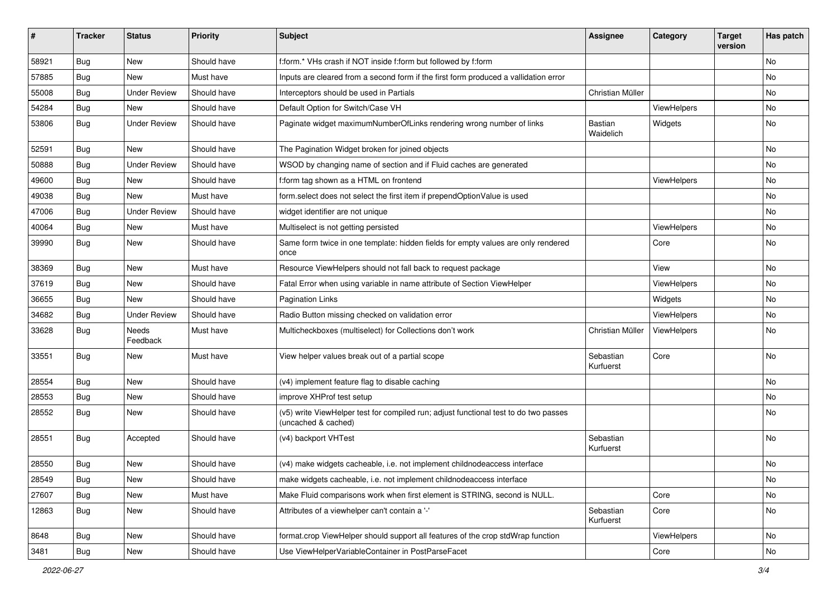| #     | <b>Tracker</b> | <b>Status</b>       | <b>Priority</b> | Subject                                                                                                     | <b>Assignee</b>        | Category    | <b>Target</b><br>version | Has patch |
|-------|----------------|---------------------|-----------------|-------------------------------------------------------------------------------------------------------------|------------------------|-------------|--------------------------|-----------|
| 58921 | Bug            | New                 | Should have     | f:form.* VHs crash if NOT inside f:form but followed by f:form                                              |                        |             |                          | <b>No</b> |
| 57885 | Bug            | New                 | Must have       | Inputs are cleared from a second form if the first form produced a vallidation error                        |                        |             |                          | No        |
| 55008 | Bug            | <b>Under Review</b> | Should have     | Interceptors should be used in Partials                                                                     | Christian Müller       |             |                          | No        |
| 54284 | Bug            | New                 | Should have     | Default Option for Switch/Case VH                                                                           |                        | ViewHelpers |                          | No        |
| 53806 | Bug            | <b>Under Review</b> | Should have     | Paginate widget maximumNumberOfLinks rendering wrong number of links                                        | Bastian<br>Waidelich   | Widgets     |                          | <b>No</b> |
| 52591 | Bug            | New                 | Should have     | The Pagination Widget broken for joined objects                                                             |                        |             |                          | No        |
| 50888 | Bug            | <b>Under Review</b> | Should have     | WSOD by changing name of section and if Fluid caches are generated                                          |                        |             |                          | <b>No</b> |
| 49600 | Bug            | New                 | Should have     | f:form tag shown as a HTML on frontend                                                                      |                        | ViewHelpers |                          | No        |
| 49038 | Bug            | New                 | Must have       | form select does not select the first item if prependOptionValue is used                                    |                        |             |                          | No        |
| 47006 | Bug            | <b>Under Review</b> | Should have     | widget identifier are not unique                                                                            |                        |             |                          | No        |
| 40064 | Bug            | New                 | Must have       | Multiselect is not getting persisted                                                                        |                        | ViewHelpers |                          | No        |
| 39990 | Bug            | New                 | Should have     | Same form twice in one template: hidden fields for empty values are only rendered<br>once                   |                        | Core        |                          | <b>No</b> |
| 38369 | Bug            | New                 | Must have       | Resource ViewHelpers should not fall back to request package                                                |                        | View        |                          | No        |
| 37619 | Bug            | New                 | Should have     | Fatal Error when using variable in name attribute of Section ViewHelper                                     |                        | ViewHelpers |                          | No        |
| 36655 | Bug            | New                 | Should have     | <b>Pagination Links</b>                                                                                     |                        | Widgets     |                          | <b>No</b> |
| 34682 | Bug            | <b>Under Review</b> | Should have     | Radio Button missing checked on validation error                                                            |                        | ViewHelpers |                          | No        |
| 33628 | Bug            | Needs<br>Feedback   | Must have       | Multicheckboxes (multiselect) for Collections don't work                                                    | Christian Müller       | ViewHelpers |                          | <b>No</b> |
| 33551 | Bug            | New                 | Must have       | View helper values break out of a partial scope                                                             | Sebastian<br>Kurfuerst | Core        |                          | <b>No</b> |
| 28554 | Bug            | New                 | Should have     | (v4) implement feature flag to disable caching                                                              |                        |             |                          | No        |
| 28553 | Bug            | New                 | Should have     | improve XHProf test setup                                                                                   |                        |             |                          | No        |
| 28552 | Bug            | New                 | Should have     | (v5) write ViewHelper test for compiled run; adjust functional test to do two passes<br>(uncached & cached) |                        |             |                          | <b>No</b> |
| 28551 | Bug            | Accepted            | Should have     | (v4) backport VHTest                                                                                        | Sebastian<br>Kurfuerst |             |                          | <b>No</b> |
| 28550 | Bug            | New                 | Should have     | (v4) make widgets cacheable, i.e. not implement childnodeaccess interface                                   |                        |             |                          | No        |
| 28549 | <b>Bug</b>     | New                 | Should have     | make widgets cacheable, i.e. not implement childnodeaccess interface                                        |                        |             |                          | No        |
| 27607 | <b>Bug</b>     | New                 | Must have       | Make Fluid comparisons work when first element is STRING, second is NULL.                                   |                        | Core        |                          | No        |
| 12863 | Bug            | New                 | Should have     | Attributes of a viewhelper can't contain a '-'                                                              | Sebastian<br>Kurfuerst | Core        |                          | No        |
| 8648  | Bug            | New                 | Should have     | format.crop ViewHelper should support all features of the crop stdWrap function                             |                        | ViewHelpers |                          | No        |
| 3481  | <b>Bug</b>     | New                 | Should have     | Use ViewHelperVariableContainer in PostParseFacet                                                           |                        | Core        |                          | No        |